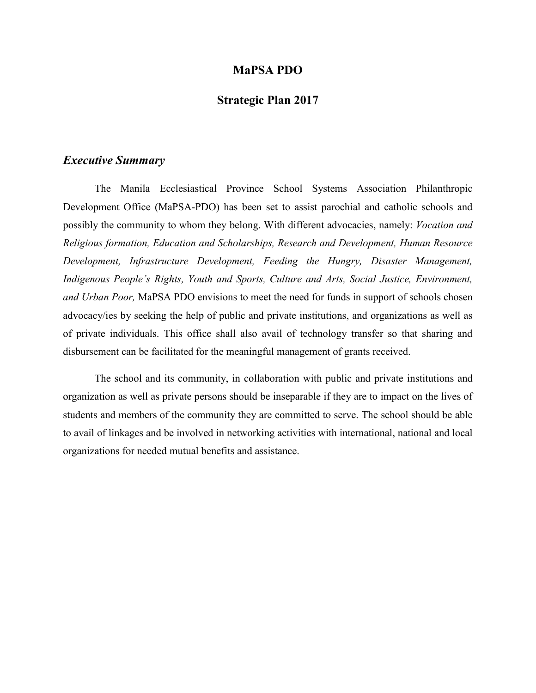#### **MaPSA PDO**

#### **Strategic Plan 2017**

#### *Executive Summary*

The Manila Ecclesiastical Province School Systems Association Philanthropic Development Office (MaPSA-PDO) has been set to assist parochial and catholic schools and possibly the community to whom they belong. With different advocacies, namely: *Vocation and Religious formation, Education and Scholarships, Research and Development, Human Resource Development, Infrastructure Development, Feeding the Hungry, Disaster Management, Indigenous People's Rights, Youth and Sports, Culture and Arts, Social Justice, Environment, and Urban Poor,* MaPSA PDO envisions to meet the need for funds in support of schools chosen advocacy/ies by seeking the help of public and private institutions, and organizations as well as of private individuals. This office shall also avail of technology transfer so that sharing and disbursement can be facilitated for the meaningful management of grants received.

The school and its community, in collaboration with public and private institutions and organization as well as private persons should be inseparable if they are to impact on the lives of students and members of the community they are committed to serve. The school should be able to avail of linkages and be involved in networking activities with international, national and local organizations for needed mutual benefits and assistance.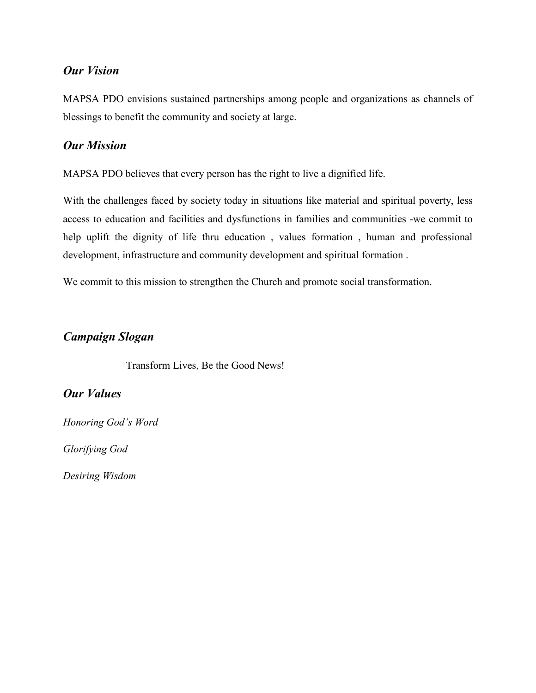## *Our Vision*

MAPSA PDO envisions sustained partnerships among people and organizations as channels of blessings to benefit the community and society at large.

## *Our Mission*

MAPSA PDO believes that every person has the right to live a dignified life.

With the challenges faced by society today in situations like material and spiritual poverty, less access to education and facilities and dysfunctions in families and communities -we commit to help uplift the dignity of life thru education , values formation , human and professional development, infrastructure and community development and spiritual formation .

We commit to this mission to strengthen the Church and promote social transformation.

## *Campaign Slogan*

Transform Lives, Be the Good News!

## *Our Values*

*Honoring God's Word*

*Glorifying God*

*Desiring Wisdom*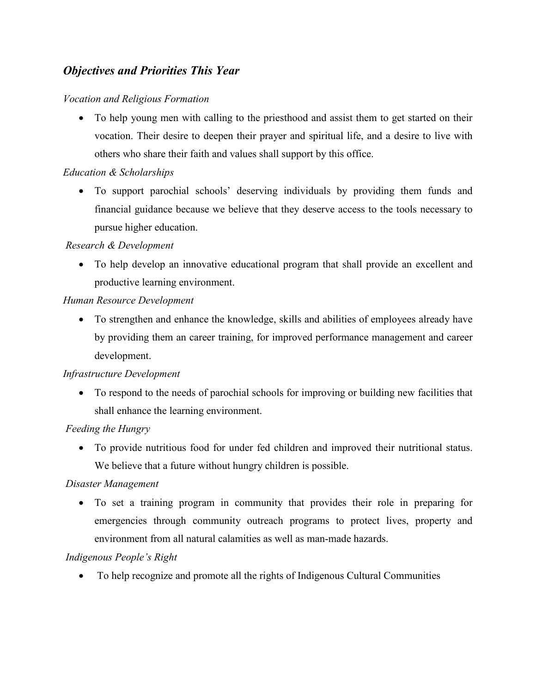# *Objectives and Priorities This Year*

#### *Vocation and Religious Formation*

• To help young men with calling to the priesthood and assist them to get started on their vocation. Their desire to deepen their prayer and spiritual life, and a desire to live with others who share their faith and values shall support by this office.

#### *Education & Scholarships*

 To support parochial schools' deserving individuals by providing them funds and financial guidance because we believe that they deserve access to the tools necessary to pursue higher education.

#### *Research & Development*

 To help develop an innovative educational program that shall provide an excellent and productive learning environment.

#### *Human Resource Development*

 To strengthen and enhance the knowledge, skills and abilities of employees already have by providing them an career training, for improved performance management and career development.

#### *Infrastructure Development*

 To respond to the needs of parochial schools for improving or building new facilities that shall enhance the learning environment.

### *Feeding the Hungry*

 To provide nutritious food for under fed children and improved their nutritional status. We believe that a future without hungry children is possible.

### *Disaster Management*

 To set a training program in community that provides their role in preparing for emergencies through community outreach programs to protect lives, property and environment from all natural calamities as well as man-made hazards.

### *Indigenous People's Right*

To help recognize and promote all the rights of Indigenous Cultural Communities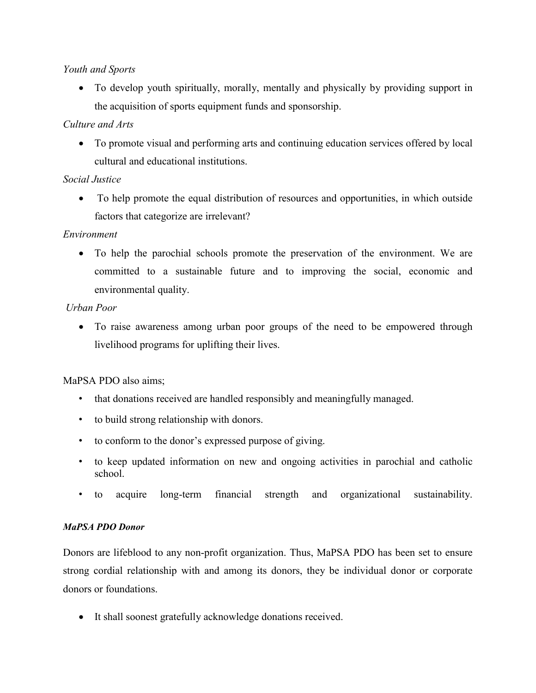### *Youth and Sports*

 To develop youth spiritually, morally, mentally and physically by providing support in the acquisition of sports equipment funds and sponsorship.

## *Culture and Arts*

 To promote visual and performing arts and continuing education services offered by local cultural and educational institutions.

## *Social Justice*

• To help promote the equal distribution of resources and opportunities, in which outside factors that categorize are irrelevant?

## *Environment*

 To help the parochial schools promote the preservation of the environment. We are committed to a sustainable future and to improving the social, economic and environmental quality.

## *Urban Poor*

 To raise awareness among urban poor groups of the need to be empowered through livelihood programs for uplifting their lives.

## MaPSA PDO also aims;

- that donations received are handled responsibly and meaningfully managed.
- to build strong relationship with donors.
- to conform to the donor's expressed purpose of giving.
- to keep updated information on new and ongoing activities in parochial and catholic school.
- to acquire long-term financial strength and organizational sustainability.

### *MaPSA PDO Donor*

Donors are lifeblood to any non-profit organization. Thus, MaPSA PDO has been set to ensure strong cordial relationship with and among its donors, they be individual donor or corporate donors or foundations.

It shall soonest gratefully acknowledge donations received.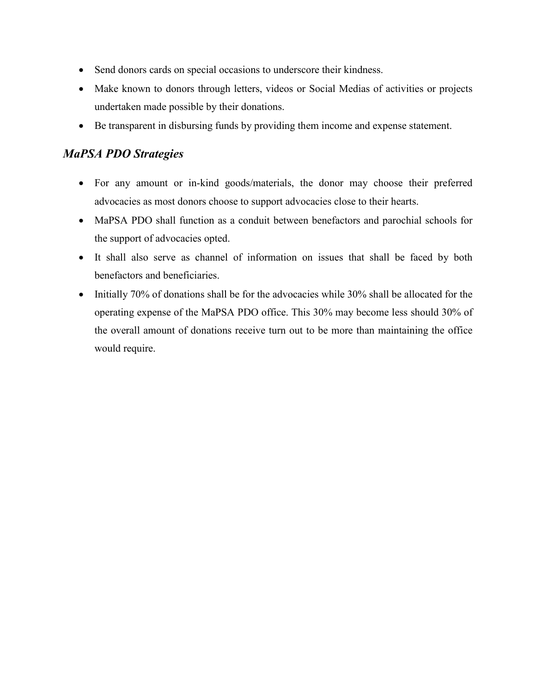- Send donors cards on special occasions to underscore their kindness.
- Make known to donors through letters, videos or Social Medias of activities or projects undertaken made possible by their donations.
- Be transparent in disbursing funds by providing them income and expense statement.

# *MaPSA PDO Strategies*

- For any amount or in-kind goods/materials, the donor may choose their preferred advocacies as most donors choose to support advocacies close to their hearts.
- MaPSA PDO shall function as a conduit between benefactors and parochial schools for the support of advocacies opted.
- It shall also serve as channel of information on issues that shall be faced by both benefactors and beneficiaries.
- Initially 70% of donations shall be for the advocacies while 30% shall be allocated for the operating expense of the MaPSA PDO office. This 30% may become less should 30% of the overall amount of donations receive turn out to be more than maintaining the office would require.